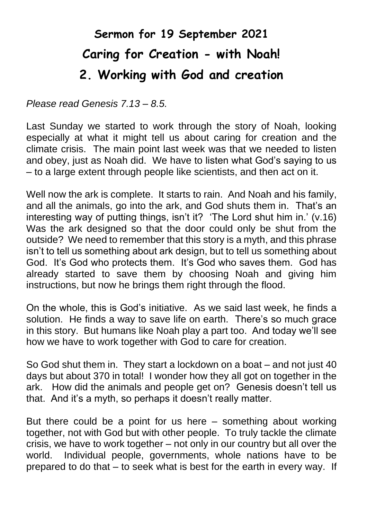## **Sermon for 19 September 2021 Caring for Creation - with Noah! 2. Working with God and creation**

*Please read Genesis 7.13 – 8.5.*

Last Sunday we started to work through the story of Noah, looking especially at what it might tell us about caring for creation and the climate crisis. The main point last week was that we needed to listen and obey, just as Noah did. We have to listen what God's saying to us – to a large extent through people like scientists, and then act on it.

Well now the ark is complete. It starts to rain. And Noah and his family, and all the animals, go into the ark, and God shuts them in. That's an interesting way of putting things, isn't it? 'The Lord shut him in.' (v.16) Was the ark designed so that the door could only be shut from the outside? We need to remember that this story is a myth, and this phrase isn't to tell us something about ark design, but to tell us something about God. It's God who protects them. It's God who saves them. God has already started to save them by choosing Noah and giving him instructions, but now he brings them right through the flood.

On the whole, this is God's initiative. As we said last week, he finds a solution. He finds a way to save life on earth. There's so much grace in this story. But humans like Noah play a part too. And today we'll see how we have to work together with God to care for creation.

So God shut them in. They start a lockdown on a boat – and not just 40 days but about 370 in total! I wonder how they all got on together in the ark. How did the animals and people get on? Genesis doesn't tell us that. And it's a myth, so perhaps it doesn't really matter.

But there could be a point for us here – something about working together, not with God but with other people. To truly tackle the climate crisis, we have to work together – not only in our country but all over the world. Individual people, governments, whole nations have to be prepared to do that – to seek what is best for the earth in every way. If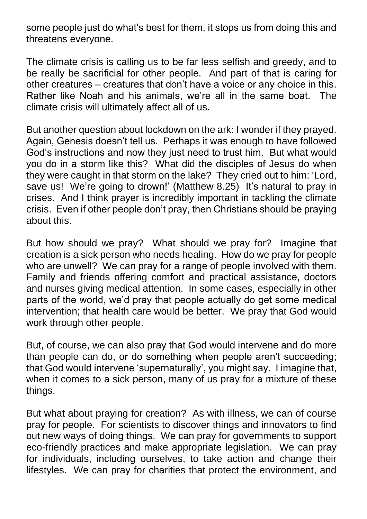some people just do what's best for them, it stops us from doing this and threatens everyone.

The climate crisis is calling us to be far less selfish and greedy, and to be really be sacrificial for other people. And part of that is caring for other creatures – creatures that don't have a voice or any choice in this. Rather like Noah and his animals, we're all in the same boat. The climate crisis will ultimately affect all of us.

But another question about lockdown on the ark: I wonder if they prayed. Again, Genesis doesn't tell us. Perhaps it was enough to have followed God's instructions and now they just need to trust him. But what would you do in a storm like this? What did the disciples of Jesus do when they were caught in that storm on the lake? They cried out to him: 'Lord, save us! We're going to drown!' (Matthew 8.25) It's natural to pray in crises. And I think prayer is incredibly important in tackling the climate crisis. Even if other people don't pray, then Christians should be praying about this.

But how should we pray? What should we pray for? Imagine that creation is a sick person who needs healing. How do we pray for people who are unwell? We can pray for a range of people involved with them. Family and friends offering comfort and practical assistance, doctors and nurses giving medical attention. In some cases, especially in other parts of the world, we'd pray that people actually do get some medical intervention; that health care would be better. We pray that God would work through other people.

But, of course, we can also pray that God would intervene and do more than people can do, or do something when people aren't succeeding; that God would intervene 'supernaturally', you might say. I imagine that, when it comes to a sick person, many of us pray for a mixture of these things.

But what about praying for creation? As with illness, we can of course pray for people. For scientists to discover things and innovators to find out new ways of doing things. We can pray for governments to support eco-friendly practices and make appropriate legislation. We can pray for individuals, including ourselves, to take action and change their lifestyles. We can pray for charities that protect the environment, and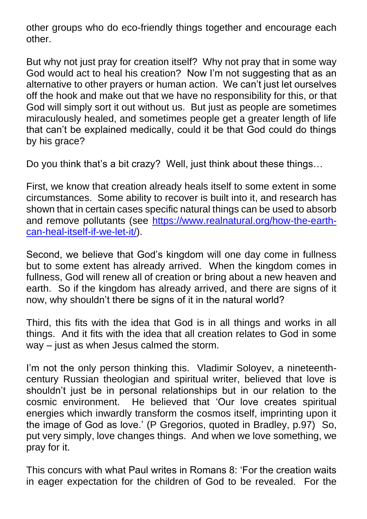other groups who do eco-friendly things together and encourage each other.

But why not just pray for creation itself? Why not pray that in some way God would act to heal his creation? Now I'm not suggesting that as an alternative to other prayers or human action. We can't just let ourselves off the hook and make out that we have no responsibility for this, or that God will simply sort it out without us. But just as people are sometimes miraculously healed, and sometimes people get a greater length of life that can't be explained medically, could it be that God could do things by his grace?

Do you think that's a bit crazy? Well, just think about these things…

First, we know that creation already heals itself to some extent in some circumstances. Some ability to recover is built into it, and research has shown that in certain cases specific natural things can be used to absorb and remove pollutants (see [https://www.realnatural.org/how-the-earth](https://www.realnatural.org/how-the-earth-can-heal-itself-if-we-let-it/)[can-heal-itself-if-we-let-it/\)](https://www.realnatural.org/how-the-earth-can-heal-itself-if-we-let-it/).

Second, we believe that God's kingdom will one day come in fullness but to some extent has already arrived. When the kingdom comes in fullness, God will renew all of creation or bring about a new heaven and earth. So if the kingdom has already arrived, and there are signs of it now, why shouldn't there be signs of it in the natural world?

Third, this fits with the idea that God is in all things and works in all things. And it fits with the idea that all creation relates to God in some way – just as when Jesus calmed the storm.

I'm not the only person thinking this. Vladimir Soloyev, a nineteenthcentury Russian theologian and spiritual writer, believed that love is shouldn't just be in personal relationships but in our relation to the cosmic environment. He believed that 'Our love creates spiritual energies which inwardly transform the cosmos itself, imprinting upon it the image of God as love.' (P Gregorios, quoted in Bradley, p.97) So, put very simply, love changes things. And when we love something, we pray for it.

This concurs with what Paul writes in Romans 8: 'For the creation waits in eager expectation for the children of God to be revealed. For the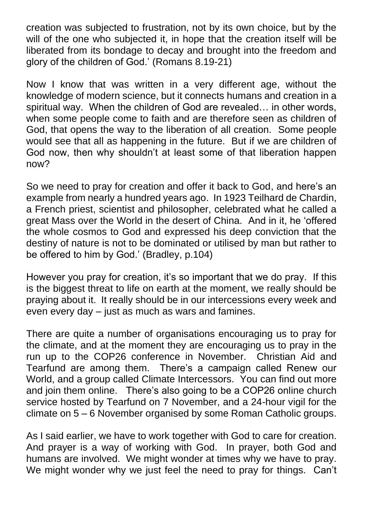creation was subjected to frustration, not by its own choice, but by the will of the one who subjected it, in hope that the creation itself will be liberated from its bondage to decay and brought into the freedom and glory of the children of God.' (Romans 8.19-21)

Now I know that was written in a very different age, without the knowledge of modern science, but it connects humans and creation in a spiritual way. When the children of God are revealed… in other words, when some people come to faith and are therefore seen as children of God, that opens the way to the liberation of all creation. Some people would see that all as happening in the future. But if we are children of God now, then why shouldn't at least some of that liberation happen now?

So we need to pray for creation and offer it back to God, and here's an example from nearly a hundred years ago. In 1923 Teilhard de Chardin, a French priest, scientist and philosopher, celebrated what he called a great Mass over the World in the desert of China. And in it, he 'offered the whole cosmos to God and expressed his deep conviction that the destiny of nature is not to be dominated or utilised by man but rather to be offered to him by God.' (Bradley, p.104)

However you pray for creation, it's so important that we do pray. If this is the biggest threat to life on earth at the moment, we really should be praying about it. It really should be in our intercessions every week and even every day – just as much as wars and famines.

There are quite a number of organisations encouraging us to pray for the climate, and at the moment they are encouraging us to pray in the run up to the COP26 conference in November. Christian Aid and Tearfund are among them. There's a campaign called Renew our World, and a group called Climate Intercessors. You can find out more and join them online. There's also going to be a COP26 online church service hosted by Tearfund on 7 November, and a 24-hour vigil for the climate on 5 – 6 November organised by some Roman Catholic groups.

As I said earlier, we have to work together with God to care for creation. And prayer is a way of working with God. In prayer, both God and humans are involved. We might wonder at times why we have to pray. We might wonder why we just feel the need to pray for things. Can't